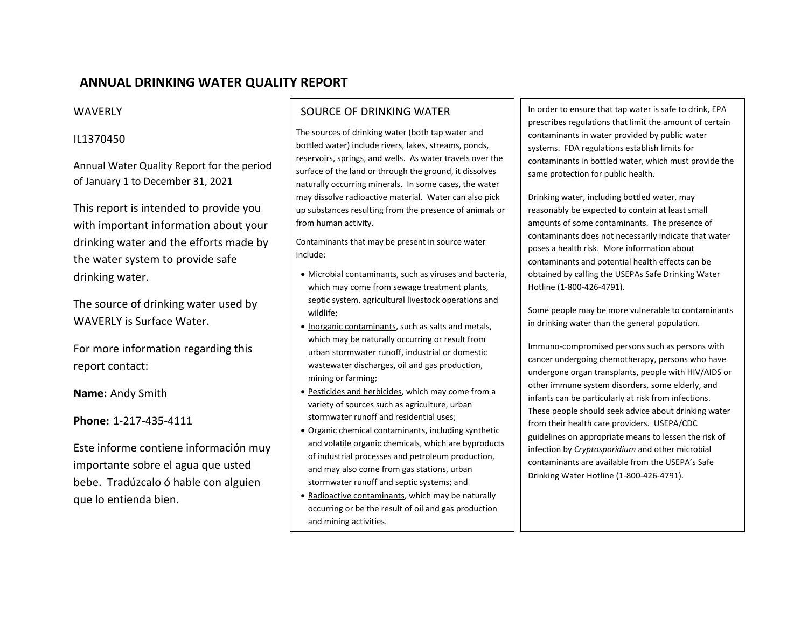# **ANNUAL DRINKING WATER QUALITY REPORT**

## WAVERLY

# IL1370450

Annual Water Quality Report for the period of January 1 to December 31, 2021

This report is intended to provide you with important information about your drinking water and the efforts made by the water system to provide safe drinking water.

The source of drinking water used by WAVERLY is Surface Water.

For more information regarding this report contact:

**Name:** Andy Smith

**Phone:** 1-217-435-4111

Este informe contiene información muy importante sobre el agua que usted bebe. Tradúzcalo ó hable con alguien que lo entienda bien.

# SOURCE OF DRINKING WATER

The sources of drinking water (both tap water and bottled water) include rivers, lakes, streams, ponds, reservoirs, springs, and wells. As water travels over the surface of the land or through the ground, it dissolves naturally occurring minerals. In some cases, the water may dissolve radioactive material. Water can also pick up substances resulting from the presence of animals or from human activity.

Contaminants that may be present in source water include:

- Microbial contaminants, such as viruses and bacteria, which may come from sewage treatment plants, septic system, agricultural livestock operations and wildlife;
- Inorganic contaminants, such as salts and metals, which may be naturally occurring or result from urban stormwater runoff, industrial or domestic wastewater discharges, oil and gas production, mining or farming;
- Pesticides and herbicides, which may come from a variety of sources such as agriculture, urban stormwater runoff and residential uses;
- Organic chemical contaminants, including synthetic and volatile organic chemicals, which are byproducts of industrial processes and petroleum production, and may also come from gas stations, urban stormwater runoff and septic systems; and
- Radioactive contaminants, which may be naturally occurring or be the result of oil and gas production and mining activities.

In order to ensure that tap water is safe to drink, EPA prescribes regulations that limit the amount of certain contaminants in water provided by public water systems. FDA regulations establish limits for contaminants in bottled water, which must provide the same protection for public health.

Drinking water, including bottled water, may reasonably be expected to contain at least small amounts of some contaminants. The presence of contaminants does not necessarily indicate that water poses a health risk. More information about contaminants and potential health effects can be obtained by calling the USEPAs Safe Drinking Water Hotline (1-800-426-4791).

Some people may be more vulnerable to contaminants in drinking water than the general population.

Immuno-compromised persons such as persons with cancer undergoing chemotherapy, persons who have undergone organ transplants, people with HIV/AIDS or other immune system disorders, some elderly, and infants can be particularly at risk from infections. These people should seek advice about drinking water from their health care providers. USEPA/CDC guidelines on appropriate means to lessen the risk of infection by *Cryptosporidium* and other microbial contaminants are available from the USEPA's Safe Drinking Water Hotline (1-800-426-4791).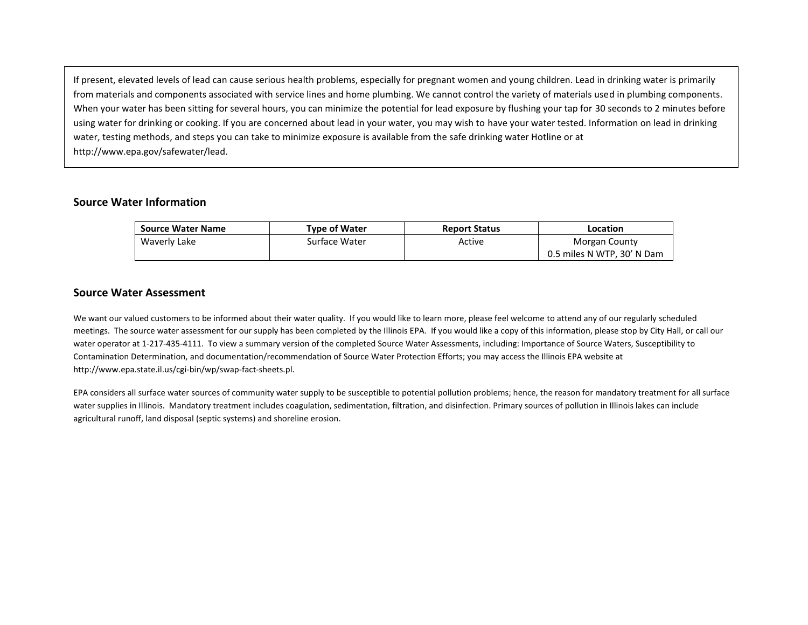If present, elevated levels of lead can cause serious health problems, especially for pregnant women and young children. Lead in drinking water is primarily from materials and components associated with service lines and home plumbing. We cannot control the variety of materials used in plumbing components. When your water has been sitting for several hours, you can minimize the potential for lead exposure by flushing your tap for 30 seconds to 2 minutes before using water for drinking or cooking. If you are concerned about lead in your water, you may wish to have your water tested. Information on lead in drinking water, testing methods, and steps you can take to minimize exposure is available from the safe drinking water Hotline or at http://www.epa.gov/safewater/lead.

#### **Source Water Information**

| <b>Source Water Name</b> | <b>Type of Water</b> | <b>Report Status</b> | Location                   |
|--------------------------|----------------------|----------------------|----------------------------|
| Waverly Lake             | Surface Water        | Active               | Morgan County              |
|                          |                      |                      | 0.5 miles N WTP, 30' N Dam |

#### **Source Water Assessment**

We want our valued customers to be informed about their water quality. If you would like to learn more, please feel welcome to attend any of our regularly scheduled meetings. The source water assessment for our supply has been completed by the Illinois EPA. If you would like a copy of this information, please stop by City Hall, or call our water operator at 1-217-435-4111. To view a summary version of the completed Source Water Assessments, including: Importance of Source Waters, Susceptibility to Contamination Determination, and documentation/recommendation of Source Water Protection Efforts; you may access the Illinois EPA website at http://www.epa.state.il.us/cgi-bin/wp/swap-fact-sheets.pl.

EPA considers all surface water sources of community water supply to be susceptible to potential pollution problems; hence, the reason for mandatory treatment for all surface water supplies in Illinois. Mandatory treatment includes coagulation, sedimentation, filtration, and disinfection. Primary sources of pollution in Illinois lakes can include agricultural runoff, land disposal (septic systems) and shoreline erosion.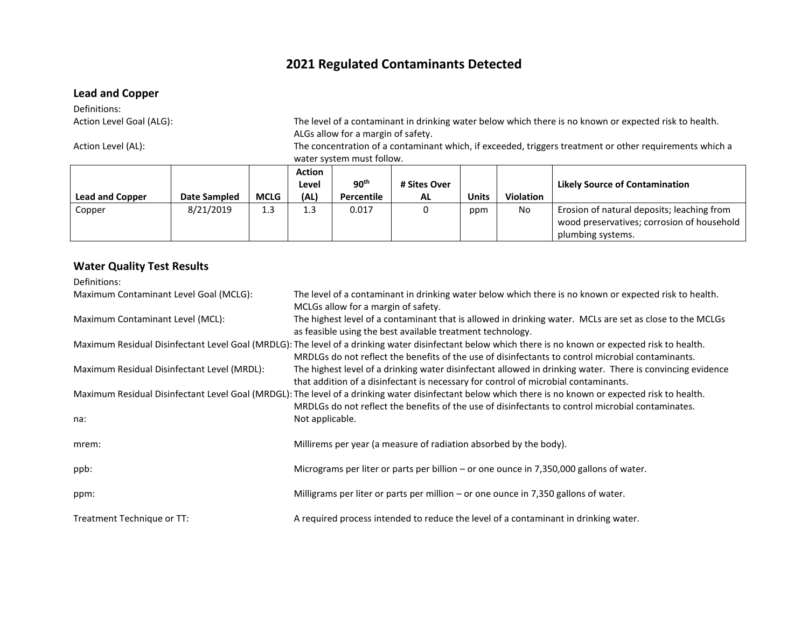# **2021 Regulated Contaminants Detected**

## **Lead and Copper**

Definitions:<br>Action Level Goal (ALG):

The level of a contaminant in drinking water below which there is no known or expected risk to health. ALGs allow for a margin of safety.

Action Level (AL): The concentration of a contaminant which, if exceeded, triggers treatment or other requirements which a water system must follow.

|                        |                     |             | <b>Action</b><br>Level | 90 <sup>th</sup> | # Sites Over |              |                  | <b>Likely Source of Contamination</b>      |
|------------------------|---------------------|-------------|------------------------|------------------|--------------|--------------|------------------|--------------------------------------------|
| <b>Lead and Copper</b> | <b>Date Sampled</b> | <b>MCLG</b> | (AL)                   | Percentile       | <b>AL</b>    | <b>Units</b> | <b>Violation</b> |                                            |
| Copper                 | 8/21/2019           | 1.3         | 1.3                    | 0.017            |              | ppm          | No               | Erosion of natural deposits; leaching from |
|                        |                     |             |                        |                  |              |              |                  | wood preservatives; corrosion of household |
|                        |                     |             |                        |                  |              |              |                  | plumbing systems.                          |

## **Water Quality Test Results**

| Definitions:                                |                                                                                                                                                                                                                                                             |
|---------------------------------------------|-------------------------------------------------------------------------------------------------------------------------------------------------------------------------------------------------------------------------------------------------------------|
| Maximum Contaminant Level Goal (MCLG):      | The level of a contaminant in drinking water below which there is no known or expected risk to health.<br>MCLGs allow for a margin of safety.                                                                                                               |
| Maximum Contaminant Level (MCL):            | The highest level of a contaminant that is allowed in drinking water. MCLs are set as close to the MCLGs<br>as feasible using the best available treatment technology.                                                                                      |
|                                             | Maximum Residual Disinfectant Level Goal (MRDLG): The level of a drinking water disinfectant below which there is no known or expected risk to health.<br>MRDLGs do not reflect the benefits of the use of disinfectants to control microbial contaminants. |
| Maximum Residual Disinfectant Level (MRDL): | The highest level of a drinking water disinfectant allowed in drinking water. There is convincing evidence<br>that addition of a disinfectant is necessary for control of microbial contaminants.                                                           |
|                                             | Maximum Residual Disinfectant Level Goal (MRDGL): The level of a drinking water disinfectant below which there is no known or expected risk to health.<br>MRDLGs do not reflect the benefits of the use of disinfectants to control microbial contaminates. |
| na:                                         | Not applicable.                                                                                                                                                                                                                                             |
| mrem:                                       | Millirems per year (a measure of radiation absorbed by the body).                                                                                                                                                                                           |
| ppb:                                        | Micrograms per liter or parts per billion – or one ounce in $7,350,000$ gallons of water.                                                                                                                                                                   |
| ppm:                                        | Milligrams per liter or parts per million $-$ or one ounce in 7,350 gallons of water.                                                                                                                                                                       |
| Treatment Technique or TT:                  | A required process intended to reduce the level of a contaminant in drinking water.                                                                                                                                                                         |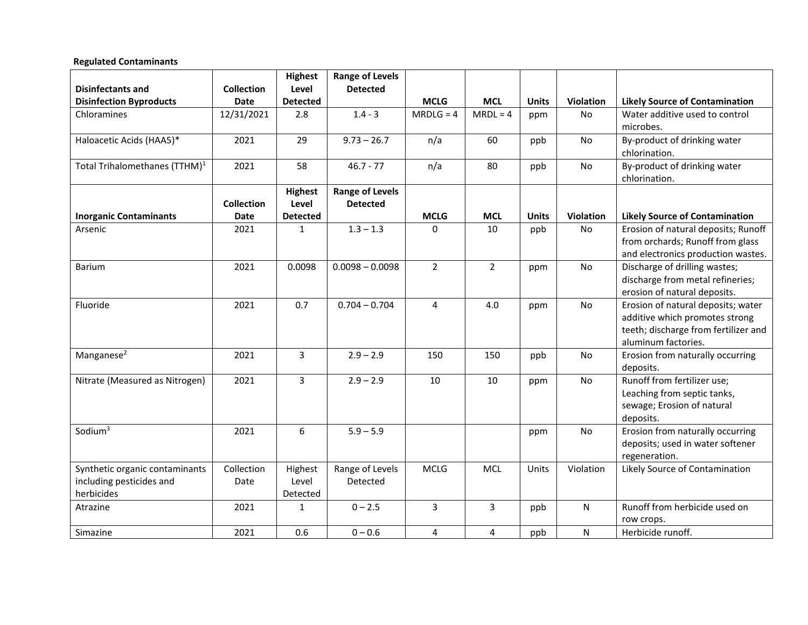### **Regulated Contaminants**

|                                           |                   | <b>Highest</b>  | <b>Range of Levels</b> |                |                |              |           |                                                                   |
|-------------------------------------------|-------------------|-----------------|------------------------|----------------|----------------|--------------|-----------|-------------------------------------------------------------------|
| <b>Disinfectants and</b>                  | <b>Collection</b> | Level           | <b>Detected</b>        |                |                |              |           |                                                                   |
| <b>Disinfection Byproducts</b>            | Date              | <b>Detected</b> |                        | <b>MCLG</b>    | <b>MCL</b>     | <b>Units</b> | Violation | <b>Likely Source of Contamination</b>                             |
| Chloramines                               | 12/31/2021        | 2.8             | $1.4 - 3$              | $MRDLG = 4$    | $MRDL = 4$     | ppm          | No        | Water additive used to control                                    |
|                                           |                   |                 |                        |                |                |              |           | microbes.                                                         |
| Haloacetic Acids (HAA5)*                  | 2021              | 29              | $9.73 - 26.7$          | n/a            | 60             | ppb          | No        | By-product of drinking water                                      |
|                                           |                   |                 |                        |                |                |              |           | chlorination.                                                     |
| Total Trihalomethanes (TTHM) <sup>1</sup> | 2021              | 58              | $46.7 - 77$            | n/a            | 80             | ppb          | No        | By-product of drinking water                                      |
|                                           |                   |                 |                        |                |                |              |           | chlorination.                                                     |
|                                           |                   | <b>Highest</b>  | <b>Range of Levels</b> |                |                |              |           |                                                                   |
|                                           | <b>Collection</b> | Level           | <b>Detected</b>        |                |                |              |           |                                                                   |
| <b>Inorganic Contaminants</b>             | Date              | <b>Detected</b> |                        | <b>MCLG</b>    | <b>MCL</b>     | <b>Units</b> | Violation | <b>Likely Source of Contamination</b>                             |
| Arsenic                                   | 2021              | $\mathbf{1}$    | $1.3 - 1.3$            | $\Omega$       | 10             | ppb          | No        | Erosion of natural deposits; Runoff                               |
|                                           |                   |                 |                        |                |                |              |           | from orchards; Runoff from glass                                  |
|                                           |                   |                 |                        |                |                |              |           | and electronics production wastes.                                |
| Barium                                    | 2021              | 0.0098          | $0.0098 - 0.0098$      | $\overline{2}$ | $2^{\circ}$    | ppm          | No        | Discharge of drilling wastes;<br>discharge from metal refineries; |
|                                           |                   |                 |                        |                |                |              |           | erosion of natural deposits.                                      |
| Fluoride                                  | 2021              | 0.7             | $0.704 - 0.704$        | 4              | 4.0            | ppm          | No        | Erosion of natural deposits; water                                |
|                                           |                   |                 |                        |                |                |              |           | additive which promotes strong                                    |
|                                           |                   |                 |                        |                |                |              |           | teeth; discharge from fertilizer and                              |
|                                           |                   |                 |                        |                |                |              |           | aluminum factories.                                               |
| Manganese <sup>2</sup>                    | 2021              | 3               | $2.9 - 2.9$            | 150            | 150            | ppb          | <b>No</b> | Erosion from naturally occurring                                  |
|                                           |                   |                 |                        |                |                |              |           | deposits.                                                         |
| Nitrate (Measured as Nitrogen)            | 2021              | $\overline{3}$  | $2.9 - 2.9$            | 10             | 10             | ppm          | No        | Runoff from fertilizer use;                                       |
|                                           |                   |                 |                        |                |                |              |           | Leaching from septic tanks,                                       |
|                                           |                   |                 |                        |                |                |              |           | sewage; Erosion of natural                                        |
|                                           |                   |                 |                        |                |                |              |           | deposits.                                                         |
| Sodium <sup>3</sup>                       | 2021              | 6               | $5.9 - 5.9$            |                |                | ppm          | No        | Erosion from naturally occurring                                  |
|                                           |                   |                 |                        |                |                |              |           | deposits; used in water softener                                  |
|                                           |                   |                 |                        |                |                |              |           | regeneration.                                                     |
| Synthetic organic contaminants            | Collection        | Highest         | Range of Levels        | <b>MCLG</b>    | <b>MCL</b>     | Units        | Violation | Likely Source of Contamination                                    |
| including pesticides and                  | Date              | Level           | Detected               |                |                |              |           |                                                                   |
| herbicides                                |                   | Detected        |                        |                |                |              |           |                                                                   |
| Atrazine                                  | 2021              | $\mathbf{1}$    | $0 - 2.5$              | 3              | $\overline{3}$ | ppb          | ${\sf N}$ | Runoff from herbicide used on                                     |
|                                           |                   |                 |                        |                |                |              |           | row crops.                                                        |
| Simazine                                  | 2021              | 0.6             | $0 - 0.6$              | 4              | 4              | ppb          | N         | Herbicide runoff.                                                 |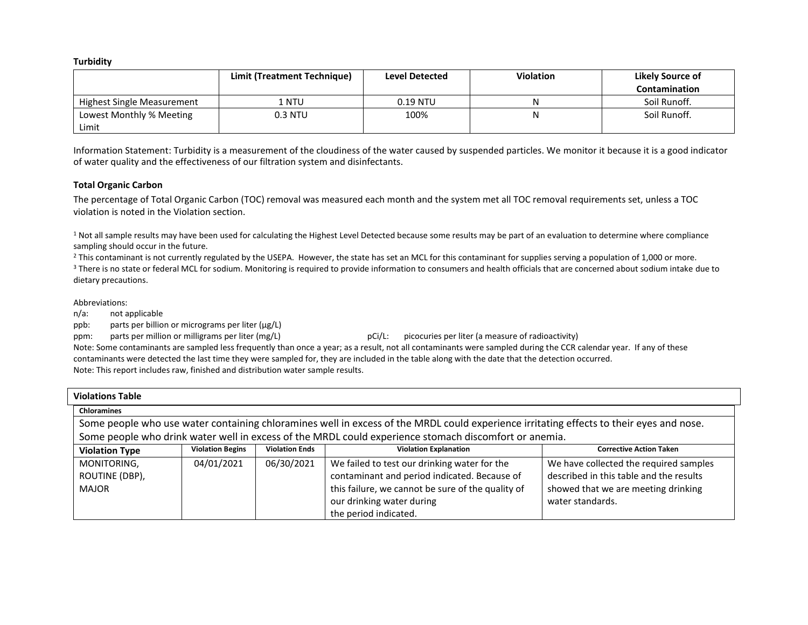**Turbidity**

|                            | Limit (Treatment Technique) | <b>Level Detected</b> | <b>Violation</b> | Likely Source of |
|----------------------------|-----------------------------|-----------------------|------------------|------------------|
|                            |                             |                       |                  | Contamination    |
| Highest Single Measurement | I NTU                       | $0.19$ NTU            | N                | Soil Runoff.     |
| Lowest Monthly % Meeting   | 0.3 NTU                     | 100%                  | Ν                | Soil Runoff.     |
| Limit                      |                             |                       |                  |                  |

Information Statement: Turbidity is a measurement of the cloudiness of the water caused by suspended particles. We monitor it because it is a good indicator of water quality and the effectiveness of our filtration system and disinfectants.

#### **Total Organic Carbon**

The percentage of Total Organic Carbon (TOC) removal was measured each month and the system met all TOC removal requirements set, unless a TOC violation is noted in the Violation section.

<sup>1</sup> Not all sample results may have been used for calculating the Highest Level Detected because some results may be part of an evaluation to determine where compliance sampling should occur in the future.

<sup>2</sup> This contaminant is not currently regulated by the USEPA. However, the state has set an MCL for this contaminant for supplies serving a population of 1,000 or more. <sup>3</sup> There is no state or federal MCL for sodium. Monitoring is required to provide information to consumers and health officials that are concerned about sodium intake due to dietary precautions.

Abbreviations:

n/a: not applicable

ppb: parts per billion or micrograms per liter (µg/L)

ppm: parts per million or milligrams per liter (mg/L) pci/L: picocuries per liter (a measure of radioactivity)

Note: Some contaminants are sampled less frequently than once a year; as a result, not all contaminants were sampled during the CCR calendar year. If any of these contaminants were detected the last time they were sampled for, they are included in the table along with the date that the detection occurred. Note: This report includes raw, finished and distribution water sample results.

| <b>Violations Table</b>                                                                                                                 |                         |                       |                                                                                                       |                                         |  |  |
|-----------------------------------------------------------------------------------------------------------------------------------------|-------------------------|-----------------------|-------------------------------------------------------------------------------------------------------|-----------------------------------------|--|--|
| <b>Chloramines</b>                                                                                                                      |                         |                       |                                                                                                       |                                         |  |  |
| Some people who use water containing chloramines well in excess of the MRDL could experience irritating effects to their eyes and nose. |                         |                       |                                                                                                       |                                         |  |  |
|                                                                                                                                         |                         |                       | Some people who drink water well in excess of the MRDL could experience stomach discomfort or anemia. |                                         |  |  |
| <b>Violation Type</b>                                                                                                                   | <b>Violation Begins</b> | <b>Violation Ends</b> | <b>Violation Explanation</b>                                                                          | <b>Corrective Action Taken</b>          |  |  |
| MONITORING,                                                                                                                             | 04/01/2021              | 06/30/2021            | We failed to test our drinking water for the                                                          | We have collected the required samples  |  |  |
| ROUTINE (DBP),                                                                                                                          |                         |                       | contaminant and period indicated. Because of                                                          | described in this table and the results |  |  |
| <b>MAJOR</b>                                                                                                                            |                         |                       | this failure, we cannot be sure of the quality of                                                     | showed that we are meeting drinking     |  |  |
|                                                                                                                                         |                         |                       | our drinking water during                                                                             | water standards.                        |  |  |
|                                                                                                                                         |                         |                       | the period indicated.                                                                                 |                                         |  |  |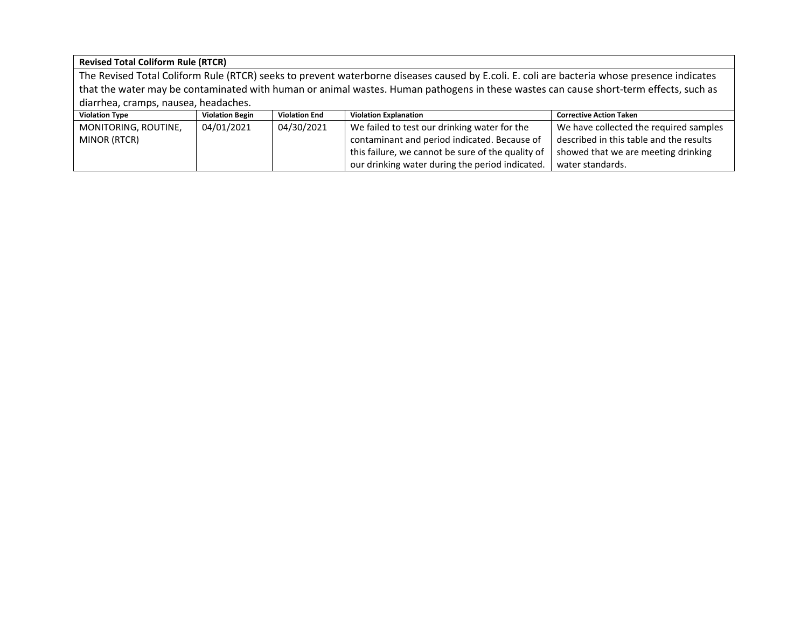**Revised Total Coliform Rule (RTCR)**

The Revised Total Coliform Rule (RTCR) seeks to prevent waterborne diseases caused by E.coli. E. coli are bacteria whose presence indicates that the water may be contaminated with human or animal wastes. Human pathogens in these wastes can cause short-term effects, such as diarrhea, cramps, nausea, headaches.

| <b>Violation Type</b> | <b>Violation Begin</b> | <b>Violation End</b> | <b>Violation Explanation</b>                      | <b>Corrective Action Taken</b>          |
|-----------------------|------------------------|----------------------|---------------------------------------------------|-----------------------------------------|
| MONITORING, ROUTINE,  | 04/01/2021             | 04/30/2021           | We failed to test our drinking water for the      | We have collected the required samples  |
| MINOR (RTCR)          |                        |                      | contaminant and period indicated. Because of      | described in this table and the results |
|                       |                        |                      | this failure, we cannot be sure of the quality of | showed that we are meeting drinking     |
|                       |                        |                      | our drinking water during the period indicated.   | water standards.                        |